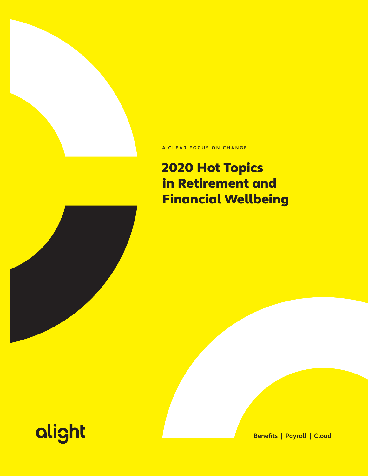### **A CLEAR FOCUS ON CHANGE**

# 2020 Hot Topics in Retirement and Financial Wellbeing





**Benefits | Payroll | Cloud**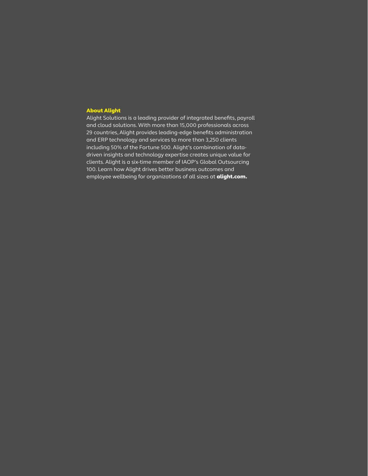### About Alight

Alight Solutions is a leading provider of integrated benefits, payroll and cloud solutions. With more than 15,000 professionals across 29 countries, Alight provides leading-edge benefits administration and ERP technology and services to more than 3,250 clients including 50% of the Fortune 500. Alight's combination of datadriven insights and technology expertise creates unique value for clients. Alight is a six-time member of IAOP's Global Outsourcing 100. Learn how Alight drives better business outcomes and employee wellbeing for organizations of all sizes at **alight.com.**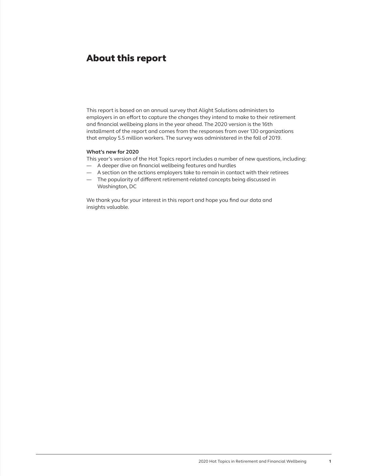### About this report

This report is based on an annual survey that Alight Solutions administers to employers in an effort to capture the changes they intend to make to their retirement and financial wellbeing plans in the year ahead. The 2020 version is the 16th installment of the report and comes from the responses from over 130 organizations that employ 5.5 million workers. The survey was administered in the fall of 2019.

#### **What's new for 2020**

This year's version of the Hot Topics report includes a number of new questions, including:

- A deeper dive on financial wellbeing features and hurdles
- A section on the actions employers take to remain in contact with their retirees
- The popularity of different retirement-related concepts being discussed in Washington, DC

We thank you for your interest in this report and hope you find our data and insights valuable.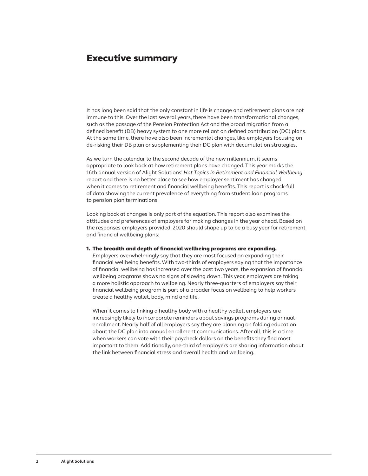### Executive summary

It has long been said that the only constant in life is change and retirement plans are not immune to this. Over the last several years, there have been transformational changes, such as the passage of the Pension Protection Act and the broad migration from a defined benefit (DB) heavy system to one more reliant on defined contribution (DC) plans. At the same time, there have also been incremental changes, like employers focusing on de-risking their DB plan or supplementing their DC plan with decumulation strategies.

As we turn the calendar to the second decade of the new millennium, it seems appropriate to look back at how retirement plans have changed. This year marks the 16th annual version of Alight Solutions' *Hot Topics in Retirement and Financial Wellbeing* report and there is no better place to see how employer sentiment has changed when it comes to retirement and financial wellbeing benefits. This report is chock-full of data showing the current prevalence of everything from student loan programs to pension plan terminations.

Looking back at changes is only part of the equation. This report also examines the attitudes and preferences of employers for making changes in the year ahead. Based on the responses employers provided, 2020 should shape up to be a busy year for retirement and financial wellbeing plans:

#### 1. The breadth and depth of financial wellbeing programs are expanding.

Employers overwhelmingly say that they are most focused on expanding their financial wellbeing benefits. With two-thirds of employers saying that the importance of financial wellbeing has increased over the past two years, the expansion of financial wellbeing programs shows no signs of slowing down. This year, employers are taking a more holistic approach to wellbeing. Nearly three-quarters of employers say their financial wellbeing program is part of a broader focus on wellbeing to help workers create a healthy wallet, body, mind and life.

When it comes to linking a healthy body with a healthy wallet, employers are increasingly likely to incorporate reminders about savings programs during annual enrollment. Nearly half of all employers say they are planning on folding education about the DC plan into annual enrollment communications. After all, this is a time when workers can vote with their paycheck dollars on the benefits they find most important to them. Additionally, one-third of employers are sharing information about the link between financial stress and overall health and wellbeing.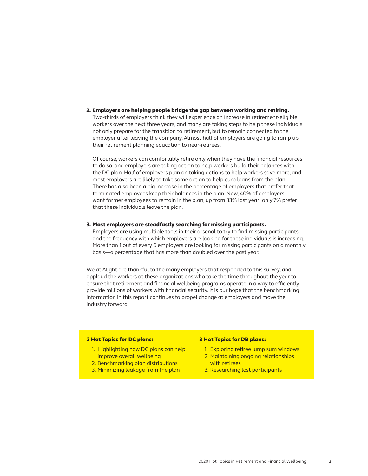2. Employers are helping people bridge the gap between working and retiring. Two-thirds of employers think they will experience an increase in retirement-eligible workers over the next three years, and many are taking steps to help these individuals not only prepare for the transition to retirement, but to remain connected to the employer after leaving the company. Almost half of employers are going to ramp up their retirement planning education to near-retirees.

Of course, workers can comfortably retire only when they have the financial resources to do so, and employers are taking action to help workers build their balances with the DC plan. Half of employers plan on taking actions to help workers save more, and most employers are likely to take some action to help curb loans from the plan. There has also been a big increase in the percentage of employers that prefer that terminated employees keep their balances in the plan. Now, 40% of employers want former employees to remain in the plan, up from 33% last year; only 7% prefer that these individuals leave the plan.

#### 3. Most employers are steadfastly searching for missing participants.

Employers are using multiple tools in their arsenal to try to find missing participants, and the frequency with which employers are looking for these individuals is increasing. More than 1 out of every 6 employers are looking for missing participants on a monthly basis—a percentage that has more than doubled over the past year.

We at Alight are thankful to the many employers that responded to this survey, and applaud the workers at these organizations who take the time throughout the year to ensure that retirement and financial wellbeing programs operate in a way to efficiently provide millions of workers with financial security. It is our hope that the benchmarking information in this report continues to propel change at employers and move the industry forward.

### 3 Hot Topics for DC plans:

- 1. Highlighting how DC plans can help improve overall wellbeing
- 2. Benchmarking plan distributions
- 3. Minimizing leakage from the plan

#### 3 Hot Topics for DB plans:

- 1. Exploring retiree lump sum windows 2. Maintaining ongoing relationships
- with retirees
- 3. Researching lost participants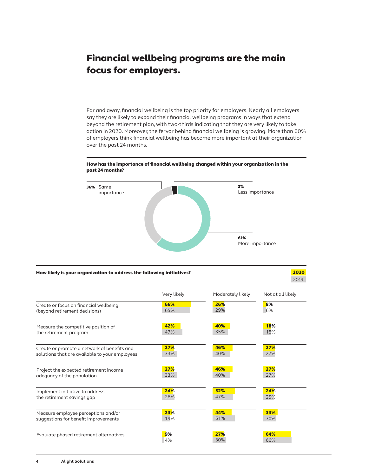### Financial wellbeing programs are the main focus for employers.

Far and away, financial wellbeing is the top priority for employers. Nearly all employers say they are likely to expand their financial wellbeing programs in ways that extend beyond the retirement plan, with two-thirds indicating that they are very likely to take action in 2020. Moreover, the fervor behind financial wellbeing is growing. More than 60% of employers think financial wellbeing has become more important at their organization over the past 24 months.

#### How has the importance of financial wellbeing changed within your organization in the past 24 months?



#### How likely is your organization to address the following initiatives?

 2020 2019

|                                                | Very likely | Moderately likely | Not at all likely |
|------------------------------------------------|-------------|-------------------|-------------------|
| Create or focus on financial wellbeing         | 66%         | 26%               | 8%                |
| (beyond retirement decisions)                  | 65%         | 29%               | 6%                |
| Measure the competitive position of            | 42%         | 40%               | <b>18%</b>        |
| the retirement program                         | 47%         | 35%               | 18%               |
| Create or promote a network of benefits and    | 27%         | 46%               | 27%               |
| solutions that are available to your employees | 33%         | 40%               | 27%               |
| Project the expected retirement income         | 27%         | 46%               | 27%               |
| adequacy of the population                     | 33%         | 40%               | 27%               |
| Implement initiative to address                | 24%         | 52%               | 24%               |
| the retirement savings gap                     | 28%         | 47%               | 25%               |
| Measure employee perceptions and/or            | 23%         | 44%               | 33%               |
| suggestions for benefit improvements           | 19%         | 51%               | 30%               |
| Evaluate phased retirement alternatives        | 9%          | 27%               | 64%               |
|                                                | 4%          | 30%               | 66%               |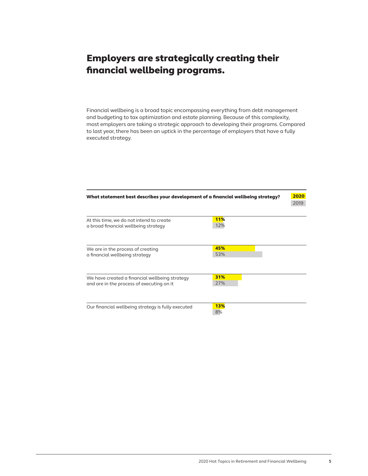### Employers are strategically creating their financial wellbeing programs.

Financial wellbeing is a broad topic encompassing everything from debt management and budgeting to tax optimization and estate planning. Because of this complexity, most employers are taking a strategic approach to developing their programs. Compared to last year, there has been an uptick in the percentage of employers that have a fully executed strategy.

| What statement best describes your development of a financial wellbeing strategy?           |                   |  |  |  |
|---------------------------------------------------------------------------------------------|-------------------|--|--|--|
| At this time, we do not intend to create<br>a broad financial wellbeing strategy            | <b>11%</b><br>12% |  |  |  |
| We are in the process of creating<br>a financial wellbeing strategy                         | 45%<br>53%        |  |  |  |
| We have created a financial wellbeing strategy<br>and are in the process of executing on it | 31%<br>27%        |  |  |  |
| Our financial wellbeing strategy is fully executed                                          | <b>13%</b><br>8%  |  |  |  |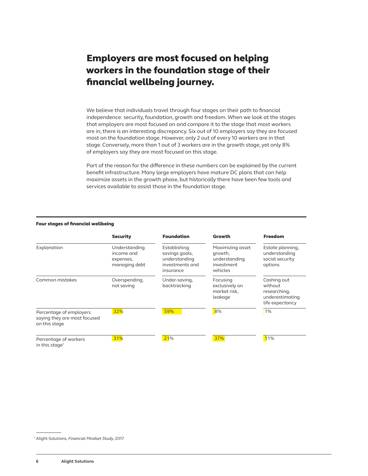### Employers are most focused on helping workers in the foundation stage of their financial wellbeing journey.

We believe that individuals travel through four stages on their path to financial independence: security, foundation, growth and freedom. When we look at the stages that employers are most focused on and compare it to the stage that most workers are in, there is an interesting discrepancy. Six out of 10 employers say they are focused most on the foundation stage. However, only 2 out of every 10 workers are in that stage. Conversely, more than 1 out of 3 workers are in the growth stage, yet only 8% of employers say they are most focused on this stage.

Part of the reason for the difference in these numbers can be explained by the current benefit infrastructure. Many large employers have mature DC plans that can help maximize assets in the growth phase, but historically there have been few tools and services available to assist those in the foundation stage.

#### Four stages of financial wellbeing

|                                                                          | <b>Security</b>                                           | <b>Foundation</b>                                                               | Growth                                                                 | <b>Freedom</b>                                                               |
|--------------------------------------------------------------------------|-----------------------------------------------------------|---------------------------------------------------------------------------------|------------------------------------------------------------------------|------------------------------------------------------------------------------|
| Explanation                                                              | Understanding<br>income and<br>expenses,<br>managing debt | Establishing<br>savings goals,<br>understanding<br>investments and<br>insurance | Maximizing asset<br>growth,<br>understanding<br>investment<br>vehicles | Estate planning,<br>understanding<br>social security<br>options              |
| Common mistakes                                                          | Overspending,<br>not saving                               | Under-saving,<br>backtracking                                                   | Focusing<br>exclusively on<br>market risk,<br>leakage                  | Cashing out<br>without<br>researching,<br>underestimating<br>life expectancy |
| Percentage of employers<br>saying they are most focused<br>on this stage | 32%                                                       | 59%                                                                             | 8%                                                                     | 1%                                                                           |
| Percentage of workers<br>in this stage <sup>1</sup>                      | 31%                                                       | 21%                                                                             | 37%                                                                    | 11%                                                                          |

<sup>1</sup> Alight Solutions, *Financial Mindset Study*, 2017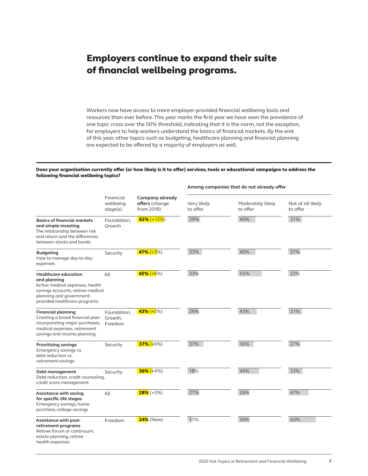### Employers continue to expand their suite of financial wellbeing programs.

Workers now have access to more employer-provided financial wellbeing tools and resources than ever before. This year marks the first year we have seen the prevalence of one topic cross over the 50% threshold, indicating that it is the norm, not the exception, for employers to help workers understand the basics of financial markets. By the end of this year, other topics such as budgeting, healthcare planning and financial planning are expected to be offered by a majority of employers as well.

#### Does your organization currently offer (or how likely is it to offer) services, tools or educational campaigns to address the following financial wellbeing topics?

|                                                                                                                                                                                 |                                    |                                                 | Among companies that do not already offer |                               |                               |
|---------------------------------------------------------------------------------------------------------------------------------------------------------------------------------|------------------------------------|-------------------------------------------------|-------------------------------------------|-------------------------------|-------------------------------|
|                                                                                                                                                                                 | Financial<br>wellbeing<br>stage(s) | Company already<br>offers (change<br>from 2018) | Very likely<br>to offer                   | Moderately likely<br>to offer | Not at all likely<br>to offer |
| <b>Basics of financial markets</b><br>and simple investing<br>The relationship between risk<br>and return and the differences<br>between stocks and bonds                       | Foundation,<br>Growth              | 62% $(+12%)$                                    | 29%                                       | 40%                           | 31%                           |
| <b>Budgeting</b><br>How to manage day-to-day<br>expenses                                                                                                                        | Security                           | 47% $(+3%)$                                     | 33%                                       | 40%                           | 27%                           |
| <b>Healthcare education</b><br>and planning<br>Active medical expenses, health<br>savings accounts, retiree medical<br>planning and government-<br>provided healthcare programs | All                                | $45\% (+6\%)$                                   | 23%                                       | 55%                           | 22%                           |
| <b>Financial planning</b><br>Creating a broad financial plan<br>incorporating major purchases,<br>medical expenses, retirement<br>savings and income planning                   | Foundation,<br>Growth,<br>Freedom  | $43\% (+5\%)$                                   | 26%                                       | 43%                           | 31%                           |
| <b>Prioritizing savings</b><br>Emergency savings vs.<br>debt reduction vs.<br>retirement savings                                                                                | Security                           | $37\%$ (+6%)                                    | 37%                                       | 36%                           | 27%                           |
| Debt management<br>Debt reduction, credit counseling,<br>credit score management                                                                                                | Security                           | $36\% (+4\%)$                                   | 18%                                       | 49%                           | 33%                           |
| <b>Assistance with saving</b><br>for specific life stages<br>Emergency savings, home<br>purchase, college savings                                                               | All                                | $28\%$ (+3%)                                    | 27%                                       | 26%                           | 47%                           |
| Assistance with post-<br>retirement programs<br>Retiree forum or continuum,<br>estate planning, retiree<br>health expenses                                                      | Freedom                            | 24% (New)                                       | 11%                                       | 26%                           | 63%                           |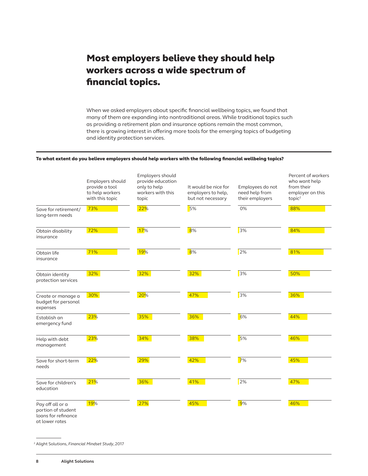### Most employers believe they should help workers across a wide spectrum of financial topics.

When we asked employers about specific financial wellbeing topics, we found that many of them are expanding into nontraditional areas. While traditional topics such as providing a retirement plan and insurance options remain the most common, there is growing interest in offering more tools for the emerging topics of budgeting and identity protection services.

#### To what extent do you believe employers should help workers with the following financial wellbeing topics?

|                                                                                 | Employers should<br>provide a tool<br>to help workers<br>with this topic | Employers should<br>provide education<br>only to help<br>workers with this<br>topic | It would be nice for<br>employers to help,<br>but not necessary | Employees do not<br>need help from<br>their employers | Percent of workers<br>who want help<br>from their<br>employer on this<br>topic <sup>2</sup> |
|---------------------------------------------------------------------------------|--------------------------------------------------------------------------|-------------------------------------------------------------------------------------|-----------------------------------------------------------------|-------------------------------------------------------|---------------------------------------------------------------------------------------------|
| Save for retirement/<br>long-term needs                                         | 73%                                                                      | 22%                                                                                 | 5%                                                              | 0%                                                    | 88%                                                                                         |
| Obtain disability<br>insurance                                                  | 72%                                                                      | 17%                                                                                 | 8%                                                              | 3%                                                    | 84%                                                                                         |
| Obtain life<br>insurance                                                        | 71%                                                                      | <mark>19%</mark>                                                                    | 8%                                                              | 2%                                                    | 81%                                                                                         |
| Obtain identity<br>protection services                                          | 32%                                                                      | 32%                                                                                 | 32%                                                             | 3%                                                    | 50%                                                                                         |
| Create or manage a<br>budget for personal<br>expenses                           | 30%                                                                      | <b>20%</b>                                                                          | 47%                                                             | 3%                                                    | 36%                                                                                         |
| Establish an<br>emergency fund                                                  | 23%                                                                      | 35%                                                                                 | 36%                                                             | 6%                                                    | 44%                                                                                         |
| Help with debt<br>management                                                    | 23%                                                                      | 34%                                                                                 | 38%                                                             | 5%                                                    | 46%                                                                                         |
| Save for short-term<br>needs                                                    | 22%                                                                      | 29%                                                                                 | 42%                                                             | 7%                                                    | 45%                                                                                         |
| Save for children's<br>education                                                | 21%                                                                      | 36%                                                                                 | 41%                                                             | 2%                                                    | 47%                                                                                         |
| Pay off all or a<br>portion of student<br>loans for refinance<br>at lower rates | 19%                                                                      | 27%                                                                                 | 45%                                                             | 9%                                                    | 46%                                                                                         |

<sup>2</sup> Alight Solutions, *Financial Mindset Study*, 2017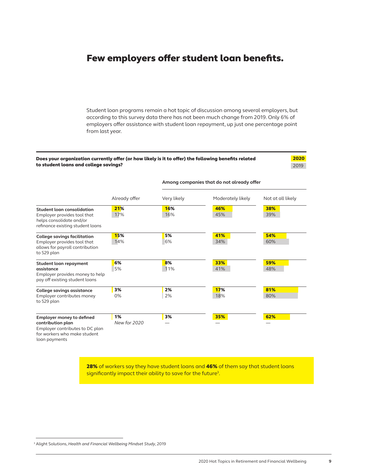### Few employers offer student loan benefits.

Student loan programs remain a hot topic of discussion among several employers, but according to this survey data there has not been much change from 2019. Only 6% of employers offer assistance with student loan repayment, up just one percentage point from last year.

#### Does your organization currently offer (or how likely is it to offer) the following benefits related to student loans and college savings?

 2020 2019

|                                                                                                                                           | Already offer             | Very likely | Moderately likely | Not at all likely |  |
|-------------------------------------------------------------------------------------------------------------------------------------------|---------------------------|-------------|-------------------|-------------------|--|
| <b>Student loan consolidation</b><br>Employer provides tool that<br>helps consolidate and/or<br>refinance existing student loans          | 21%<br>17%                | 16%<br>16%  | 46%<br>45%        | 38%<br>39%        |  |
| <b>College savings facilitation</b><br>Employer provides tool that<br>allows for payroll contribution<br>to 529 plan                      | 15%<br>14%                | 5%<br>6%    | 41%<br>34%        | 54%<br>60%        |  |
| Student loan repayment<br>assistance<br>Employer provides money to help<br>pay off existing student loans                                 | 6%<br>5%                  | 8%<br>11%   | 33%<br>41%        | 59%<br>48%        |  |
| College savings assistance<br>Employer contributes money<br>to 529 plan                                                                   | 3%<br>0%                  | 2%<br>2%    | 17%<br>18%        | 81%<br>80%        |  |
| <b>Employer money to defined</b><br>contribution plan<br>Employer contributes to DC plan<br>for workers who make student<br>loan payments | 1%<br><b>New for 2020</b> | 3%          | 35%               | 62%               |  |

**Among companies that do not already offer**

28% of workers say they have student loans and 46% of them say that student loans significantly impact their ability to save for the future<sup>3</sup>.

<sup>3</sup> Alight Solutions, *Health and Financial Wellbeing Mindset Study*, 2019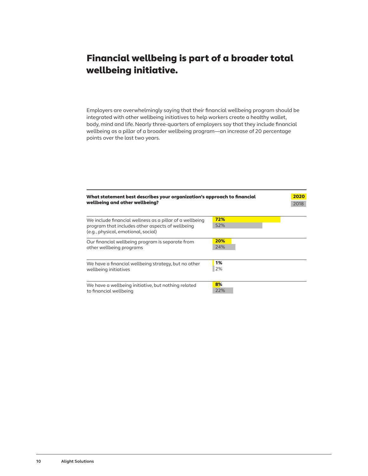# Financial wellbeing is part of a broader total wellbeing initiative.

Employers are overwhelmingly saying that their financial wellbeing program should be integrated with other wellbeing initiatives to help workers create a healthy wallet, body, mind and life. Nearly three-quarters of employers say that they include financial wellbeing as a pillar of a broader wellbeing program—an increase of 20 percentage points over the last two years.

| What statement best describes your organization's approach to financial<br>wellbeing and other wellbeing?                                           |            |  |  |  |
|-----------------------------------------------------------------------------------------------------------------------------------------------------|------------|--|--|--|
| We include financial wellness as a pillar of a wellbeing<br>program that includes other aspects of wellbeing<br>(e.g., physical, emotional, social) | 72%<br>52% |  |  |  |
| Our financial wellbeing program is separate from<br>other wellbeing programs                                                                        | 20%<br>24% |  |  |  |
| We have a financial wellbeing strategy, but no other<br>wellbeing initiatives                                                                       | 1%<br>2%   |  |  |  |
| We have a wellbeing initiative, but nothing related<br>to financial wellbeing                                                                       | 8%<br>22%  |  |  |  |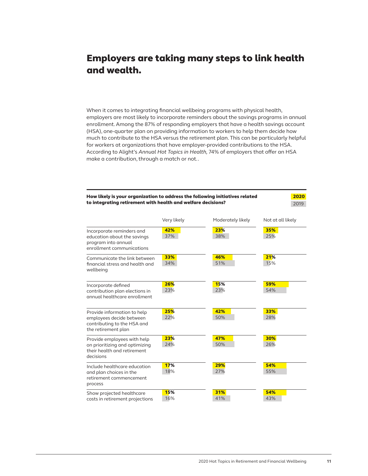## Employers are taking many steps to link health and wealth.

When it comes to integrating financial wellbeing programs with physical health, employers are most likely to incorporate reminders about the savings programs in annual enrollment. Among the 87% of responding employers that have a health savings account (HSA), one-quarter plan on providing information to workers to help them decide how much to contribute to the HSA versus the retirement plan. This can be particularly helpful for workers at organizations that have employer-provided contributions to the HSA. According to Alight's *Annual Hot Topics in Health,* 74% of employers that offer an HSA make a contribution, through a match or not..

| How likely is your organization to address the following initiatives related<br>to integrating retirement with health and welfare decisions? | 2020<br>2019 |                   |                   |
|----------------------------------------------------------------------------------------------------------------------------------------------|--------------|-------------------|-------------------|
|                                                                                                                                              | Very likely  | Moderately likely | Not at all likely |
| Incorporate reminders and<br>education about the savings<br>program into annual<br>enrollment communications                                 | 42%<br>37%   | 23%<br>38%        | 35%<br>25%        |
| Communicate the link between<br>financial stress and health and<br>wellbeing                                                                 | 33%<br>34%   | 46%<br>51%        | 21%<br>15%        |
| Incorporate defined<br>contribution plan elections in<br>annual healthcare enrollment                                                        | 26%<br>23%   | 15%<br>23%        | 59%<br>54%        |
| Provide information to help<br>employees decide between<br>contributing to the HSA and<br>the retirement plan                                | 25%<br>22%   | 42%<br>50%        | 33%<br>28%        |
| Provide employees with help<br>on prioritizing and optimizing<br>their health and retirement<br>decisions                                    | 23%<br>24%   | 47%<br>50%        | 30%<br>26%        |
| Include healthcare education<br>and plan choices in the<br>retirement commencement<br>process                                                | 17%<br>18%   | 29%<br>27%        | 54%<br>55%        |
| Show projected healthcare<br>costs in retirement projections                                                                                 | 15%<br>16%   | 31%<br>41%        | 54%<br>43%        |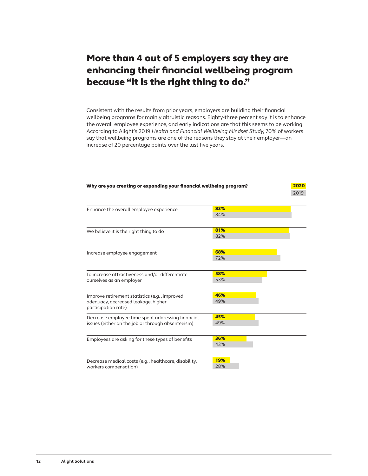### More than 4 out of 5 employers say they are enhancing their financial wellbeing program because "it is the right thing to do."

Consistent with the results from prior years, employers are building their financial wellbeing programs for mainly altruistic reasons. Eighty-three percent say it is to enhance the overall employee experience, and early indications are that this seems to be working. According to Alight's 2019 *Health and Financial Wellbeing Mindset Study,* 70% of workers say that wellbeing programs are one of the reasons they stay at their employer—an increase of 20 percentage points over the last five years.

| Why are you creating or expanding your financial wellbeing program? | 2020       |      |
|---------------------------------------------------------------------|------------|------|
|                                                                     |            | 2019 |
| Enhance the overall employee experience                             | 83%        |      |
|                                                                     | 84%        |      |
| We believe it is the right thing to do                              | 81%        |      |
|                                                                     | 82%        |      |
| Increase employee engagement                                        | 68%        |      |
|                                                                     | 72%        |      |
| To increase attractiveness and/or differentiate                     | 58%        |      |
| ourselves as an employer                                            | 53%        |      |
| Improve retirement statistics (e.g., improved                       | 46%        |      |
| adequacy, decreased leakage, higher<br>participation rate)          | 49%        |      |
| Decrease employee time spent addressing financial                   | 45%        |      |
| issues (either on the job or through absenteeism)                   | 49%        |      |
| Employees are asking for these types of benefits                    | 36%        |      |
|                                                                     | 43%        |      |
| Decrease medical costs (e.g., healthcare, disability,               | <b>19%</b> |      |
| workers compensation)                                               | 28%        |      |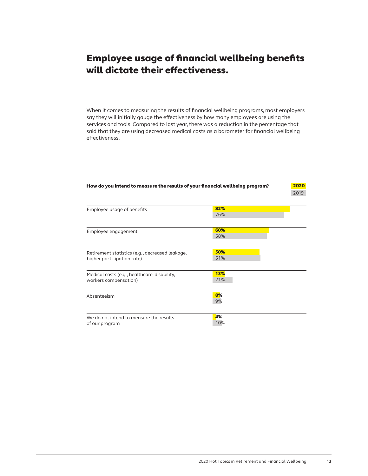# Employee usage of financial wellbeing benefits will dictate their effectiveness.

When it comes to measuring the results of financial wellbeing programs, most employers say they will initially gauge the effectiveness by how many employees are using the services and tools. Compared to last year, there was a reduction in the percentage that said that they are using decreased medical costs as a barometer for financial wellbeing effectiveness.

| How do you intend to measure the results of your financial wellbeing program? |           |      |  |
|-------------------------------------------------------------------------------|-----------|------|--|
|                                                                               |           | 2019 |  |
| Employee usage of benefits                                                    | 82%       |      |  |
|                                                                               | 76%       |      |  |
| Employee engagement                                                           | 60%       |      |  |
|                                                                               | 58%       |      |  |
| Retirement statistics (e.g., decreased leakage,                               | 50%       |      |  |
| higher participation rate)                                                    | 51%       |      |  |
| Medical costs (e.g., healthcare, disability,                                  | 13%       |      |  |
| workers compensation)                                                         | 21%       |      |  |
| Absenteeism                                                                   | 8%<br>9%  |      |  |
|                                                                               |           |      |  |
| We do not intend to measure the results<br>of our program                     | 4%<br>10% |      |  |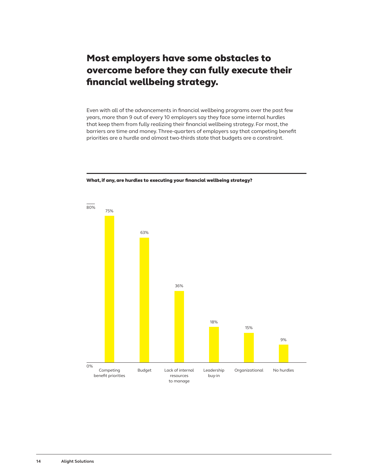### Most employers have some obstacles to overcome before they can fully execute their financial wellbeing strategy.

Even with all of the advancements in financial wellbeing programs over the past few years, more than 9 out of every 10 employers say they face some internal hurdles that keep them from fully realizing their financial wellbeing strategy. For most, the barriers are time and money. Three-quarters of employers say that competing benefit priorities are a hurdle and almost two-thirds state that budgets are a constraint.



#### What, if any, are hurdles to executing your financial wellbeing strategy?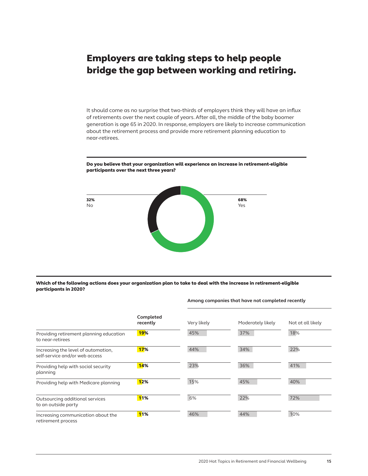### Employers are taking steps to help people bridge the gap between working and retiring.

It should come as no surprise that two-thirds of employers think they will have an influx of retirements over the next couple of years. After all, the middle of the baby boomer generation is age 65 in 2020. In response, employers are likely to increase communication about the retirement process and provide more retirement planning education to near-retirees.



Do you believe that your organization will experience an increase in retirement-eligible participants over the next three years?

#### Which of the following actions does your organization plan to take to deal with the increase in retirement-eligible participants in 2020?

#### **Among companies that have not completed recently**

|                                                                       | Completed<br>recently | Very likely | Moderately likely | Not at all likely |
|-----------------------------------------------------------------------|-----------------------|-------------|-------------------|-------------------|
| Providing retirement planning education<br>to near-retirees           | <b>19%</b>            | 45%         | 37%               | 18%               |
| Increasing the level of automation,<br>self-service and/or web access | 17%                   | 44%         | 34%               | 22%               |
| Providing help with social security<br>planning                       | 14%                   | 23%         | 36%               | 41%               |
| Providing help with Medicare planning                                 | 12%                   | 15%         | 45%               | 40%               |
| Outsourcing additional services<br>to an outside party                | <b>11%</b>            | 6%          | 22%               | 72%               |
| Increasing communication about the<br>retirement process              | <b>11%</b>            | 46%         | 44%               | 10%               |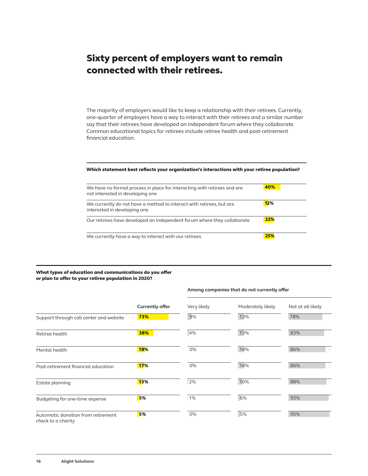### Sixty percent of employers want to remain connected with their retirees.

The majority of employers would like to keep a relationship with their retirees. Currently, one-quarter of employers have a way to interact with their retirees and a similar number say that their retirees have developed an independent forum where they collaborate. Common educational topics for retirees include retiree health and post-retirement financial education.

#### Which statement best reflects your organization's interactions with your retiree population?

| We have no formal process in place for interacting with retirees and are<br>not interested in developing one | 40% |
|--------------------------------------------------------------------------------------------------------------|-----|
| We currently do not have a method to interact with retirees, but are<br>interested in developing one         | 12% |
| Our retirees have developed an independent forum where they collaborate                                      | 23% |
| We currently have a way to interact with our retirees                                                        | 25% |

#### What types of education and communications do you offer or plan to offer to your retiree population in 2020?

|                                                          | <b>Currently offer</b> | Very likely | Moderately likely | Not at all likely |  |
|----------------------------------------------------------|------------------------|-------------|-------------------|-------------------|--|
| Support through call center and website                  | 73%                    | 9%          | 13%               | 78%               |  |
| Retiree health                                           | 38%                    | 4%          | 13%               | 83%               |  |
| Mental health                                            | <b>18%</b>             | 0%          | 14%               | 86%               |  |
| Post-retirement financial education                      | 17%                    | 0%          | 14%               | 86%               |  |
| Estate planning                                          | <b>13%</b>             | 2%          | 10%               | 88%               |  |
| Budgeting for one-time expense                           | 5%                     | 1%          | 6%                | 93%               |  |
| Automatic donation from retirement<br>check to a charity | 5%                     | 0%          | 5%                | 95%               |  |

#### **Among companies that do not currently offer**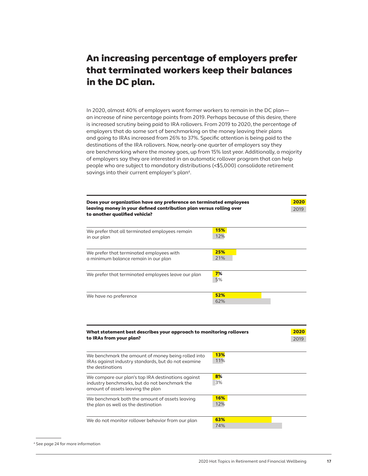### An increasing percentage of employers prefer that terminated workers keep their balances in the DC plan.

In 2020, almost 40% of employers want former workers to remain in the DC plan an increase of nine percentage points from 2019. Perhaps because of this desire, there is increased scrutiny being paid to IRA rollovers. From 2019 to 2020, the percentage of employers that do some sort of benchmarking on the money leaving their plans and going to IRAs increased from 26% to 37%. Specific attention is being paid to the destinations of the IRA rollovers. Now, nearly-one quarter of employers say they are benchmarking where the money goes, up from 15% last year. Additionally, a majority of employers say they are interested in an automatic rollover program that can help people who are subject to mandatory distributions (<\$5,000) consolidate retirement savings into their current employer's plan4.

| Does your organization have any preference on terminated employees<br>leaving money in your defined contribution plan versus rolling over<br>to another qualified vehicle? |            | 2020<br>2019 |
|----------------------------------------------------------------------------------------------------------------------------------------------------------------------------|------------|--------------|
| We prefer that all terminated employees remain<br>in our plan                                                                                                              | 15%<br>12% |              |
| We prefer that terminated employees with<br>a minimum balance remain in our plan                                                                                           | 25%<br>21% |              |
| We prefer that terminated employees leave our plan                                                                                                                         | 7%<br>5%   |              |
| We have no preference                                                                                                                                                      | 52%<br>62% |              |
| What statement best describes your approach to monitoring rollovers<br>to IRAs from your plan?                                                                             |            | 2020<br>2019 |
| We benchmark the amount of money being rolled into<br>IRAs against industry standards, but do not examine<br>the destinations                                              | 13%<br>11% |              |
| We compare our plan's top IRA destinations against<br>industry benchmarks, but do not benchmark the<br>amount of assets leaving the plan                                   | 8%<br>3%   |              |
| We benchmark both the amount of assets leaving<br>the plan as well as the destination                                                                                      | 16%<br>12% |              |
| We do not monitor rollover behavior from our plan                                                                                                                          | 63%        |              |

<sup>4</sup> See page 24 for more information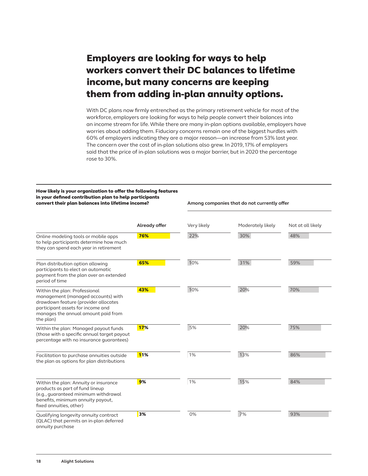# Employers are looking for ways to help workers convert their DC balances to lifetime income, but many concerns are keeping them from adding in-plan annuity options.

With DC plans now firmly entrenched as the primary retirement vehicle for most of the workforce, employers are looking for ways to help people convert their balances into an income stream for life. While there are many in-plan options available, employers have worries about adding them. Fiduciary concerns remain one of the biggest hurdles with 60% of employers indicating they are a major reason—an increase from 53% last year. The concern over the cost of in-plan solutions also grew. In 2019, 17% of employers said that the price of in-plan solutions was a major barrier, but in 2020 the percentage rose to 30%.

#### How likely is your organization to offer the following features in your defined contribution plan to help participants convert their plan balances into lifetime income?

**Among companies that do not currently offer**

|                                                                                                                                                                                                      | Already offer | Very likely | Moderately likely | Not at all likely |
|------------------------------------------------------------------------------------------------------------------------------------------------------------------------------------------------------|---------------|-------------|-------------------|-------------------|
| Online modeling tools or mobile apps<br>to help participants determine how much<br>they can spend each year in retirement                                                                            | 76%           | 22%         | 30%               | 48%               |
| Plan distribution option allowing<br>participants to elect an automatic<br>payment from the plan over an extended<br>period of time                                                                  | 65%           | 10%         | 31%               | 59%               |
| Within the plan: Professional<br>management (managed accounts) with<br>drawdown feature (provider allocates<br>participant assets for income and<br>manages the annual amount paid from<br>the plan) | 43%           | 10%         | 20%               | 70%               |
| Within the plan: Managed payout funds<br>(those with a specific annual target payout<br>percentage with no insurance quarantees)                                                                     | <b>17%</b>    | 5%          | 20%               | 75%               |
| Facilitation to purchase annuities outside<br>the plan as options for plan distributions                                                                                                             | <b>11%</b>    | 1%          | 13%               | 86%               |
| Within the plan: Annuity or insurance<br>products as part of fund lineup<br>(e.g., quaranteed minimum withdrawal<br>benefits, minimum annuity payout,<br>fixed annuities, other)                     | 9%            | 1%          | 15%               | 84%               |
| Qualifying longevity annuity contract<br>(QLAC) that permits an in-plan deferred<br>annuity purchase                                                                                                 | 3%            | 0%          | 7%                | 93%               |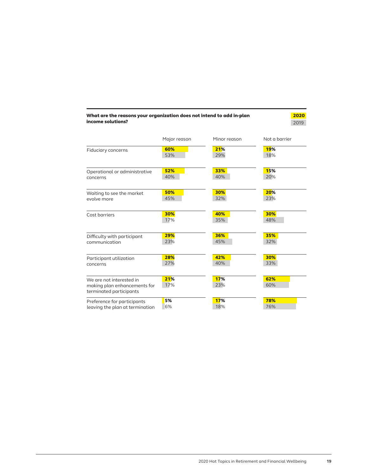|                                                         |              | Minor reason | Not a barrier |
|---------------------------------------------------------|--------------|--------------|---------------|
|                                                         | Major reason |              |               |
| Fiduciary concerns                                      | 60%          | 21%          | <b>19%</b>    |
|                                                         | 53%          | 29%          | 18%           |
| Operational or administrative                           | 52%          | 33%          | 15%           |
| concerns                                                | 40%          | 40%          | 20%           |
| Waiting to see the market                               | 50%          | 30%          | 20%           |
| evolve more                                             | 45%          | 32%          | 23%           |
| Cost barriers                                           | 30%          | 40%          | 30%           |
|                                                         | 17%          | 35%          | 48%           |
| Difficulty with participant                             | 29%          | 36%          | 35%           |
| communication                                           | 23%          | 45%          | 32%           |
| Participant utilization                                 | 28%          | 42%          | 30%           |
| concerns                                                | 27%          | 40%          | 33%           |
| We are not interested in                                | 21%          | 17%          | 62%           |
| making plan enhancements for<br>terminated participants | 17%          | 23%          | 60%           |
| Preference for participants                             | 5%           | 17%          | 78%           |
| leaving the plan at termination                         | 6%           | 18%          | 76%           |

#### What are the reasons your organization does not intend to add in-plan income solutions?

 2020 2019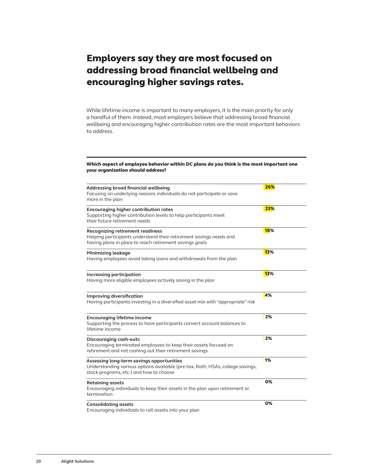### Employers say they are most focused on addressing broad financial wellbeing and encouraging higher savings rates.

While lifetime income is important to many employers, it is the main priority for only a handful of them. Instead, most employers believe that addressing broad financial wellbeing and encouraging higher contribution rates are the most important behaviors to address.

#### Which aspect of employee behavior within DC plans do you think is the most important one your organization should address?

| Addressing broad financial wellbeing<br>Focusing on underlying reasons individuals do not participate or save<br>more in the plan                                        | 26%        |
|--------------------------------------------------------------------------------------------------------------------------------------------------------------------------|------------|
| <b>Encouraging higher contribution rates</b><br>Supporting higher contribution levels to help participants meet<br>their future retirement needs                         | 23%        |
| <b>Recognizing retirement readiness</b><br>Helping participants understand their retirement savings needs and<br>having plans in place to reach retirement savings goals | <b>16%</b> |
| Minimizing leakage<br>Having employees avoid taking loans and withdrawals from the plan                                                                                  | <b>13%</b> |
| Increasing participation<br>Having more eligible employees actively saving in the plan                                                                                   | <b>13%</b> |
| Improving diversification<br>Having participants investing in a diversified asset mix with "appropriate" risk                                                            | 4%         |
| <b>Encouraging lifetime income</b><br>Supporting the process to have participants convert account balances to<br>lifetime income                                         | 2%         |
| Discouraging cash-outs<br>Encouraging terminated employees to keep their assets focused on<br>retirement and not cashing out their retirement savings                    | 2%         |
| Assessing long-term savings opportunities<br>Understanding various options available (pre-tax, Roth, HSAs, college savings,<br>stock programs, etc.) and how to choose   | 1%         |
| <b>Retaining assets</b><br>Encouraging individuals to keep their assets in the plan upon retirement or<br>termination                                                    | 0%         |
| <b>Consolidating assets</b><br>Encouraging individuals to roll assets into your plan                                                                                     | 0%         |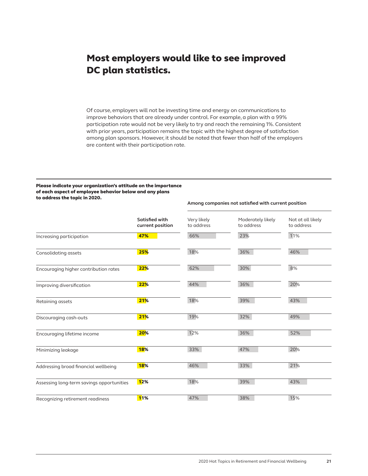### Most employers would like to see improved DC plan statistics.

Of course, employers will not be investing time and energy on communications to improve behaviors that are already under control. For example, a plan with a 99% participation rate would not be very likely to try and reach the remaining 1%. Consistent with prior years, participation remains the topic with the highest degree of satisfaction among plan sponsors. However, it should be noted that fewer than half of the employers are content with their participation rate.

#### Please indicate your organization's attitude on the importance of each aspect of employee behavior below and any plans to address the topic in 2020.

### **Satisfied with current position** Very likely to address Moderately likely to address Not at all likely to address Increasing participation **47% 47%** 66% 23% 23% 11% Consolidating assets 25% 25% 25% 18% 36% 36% 36% 36% 46% Encouraging higher contribution rates **22%** 62% 8% 8% Improving diversification **22% 22% 36% 20%** 20% Retaining assets 21% 18% 39% 43% Discouraging cash-outs **21% 1**9% 2008 32% 32% 32% 49% Encouraging lifetime income 20% 20% 12% 12% 36% 36% 52% Minimizing leakage **18%** 18% 33% 47% 47% 20% Addressing broad financial wellbeing 18% 18% 146% 133% 33% 21% Assessing long-term savings opportunities 12% 18% 18% 18% 39% 39% 39% 39% 39% 39% Recognizing retirement readiness **11% 11%** 15% 15% 15% 38% 15%

**Among companies not satisfied with current position**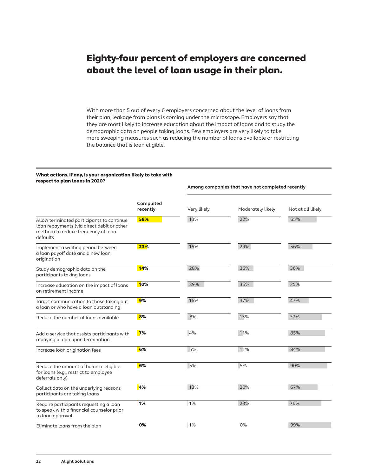### Eighty-four percent of employers are concerned about the level of loan usage in their plan.

With more than 5 out of every 6 employers concerned about the level of loans from their plan, leakage from plans is coming under the microscope. Employers say that they are most likely to increase education about the impact of loans and to study the demographic data on people taking loans. Few employers are very likely to take more sweeping measures such as reducing the number of loans available or restricting the balance that is loan eligible.

**Among companies that have not completed recently**

#### What actions, if any, is your organization likely to take with respect to plan loans in 2020?

|                                                                                                                                            | Completed<br>recently | Very likely | Moderately likely | Not at all likely |
|--------------------------------------------------------------------------------------------------------------------------------------------|-----------------------|-------------|-------------------|-------------------|
| Allow terminated participants to continue<br>loan repayments (via direct debit or other<br>method) to reduce frequency of loan<br>defaults | 58%                   | 13%         | 22%               | 65%               |
| Implement a waiting period between<br>a loan payoff date and a new loan<br>origination                                                     | 23%                   | 15%         | 29%               | 56%               |
| Study demographic data on the<br>participants taking loans                                                                                 | 14%                   | 28%         | 36%               | 36%               |
| Increase education on the impact of loans<br>on retirement income                                                                          | 10%                   | 39%         | 36%               | 25%               |
| Target communication to those taking out<br>a loan or who have a loan outstanding                                                          | 9%                    | 16%         | 37%               | 47%               |
| Reduce the number of loans available                                                                                                       | 8%                    | 8%          | 15%               | 77%               |
| Add a service that assists participants with<br>repaying a loan upon termination                                                           | 7%                    | 4%          | 11%               | 85%               |
| Increase loan origination fees                                                                                                             | 6%                    | 5%          | 11%               | 84%               |
| Reduce the amount of balance eligible<br>for loans (e.g., restrict to employee<br>deferrals only)                                          | 6%                    | 5%          | 5%                | 90%               |
| Collect data on the underlying reasons<br>participants are taking loans                                                                    | 4%                    | 13%         | 20%               | 67%               |
| Require participants requesting a loan<br>to speak with a financial counselor prior<br>to loan approval                                    | 1%                    | 1%          | 23%               | 76%               |
| Eliminate loans from the plan                                                                                                              | 0%                    | 1%          | 0%                | 99%               |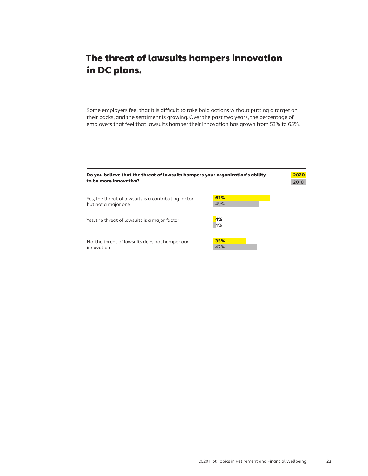# The threat of lawsuits hampers innovation in DC plans.

Some employers feel that it is difficult to take bold actions without putting a target on their backs, and the sentiment is growing. Over the past two years, the percentage of employers that feel that lawsuits hamper their innovation has grown from 53% to 65%.

| Do you believe that the threat of lawsuits hampers your organization's ability<br>to be more innovative? |            |  |  |
|----------------------------------------------------------------------------------------------------------|------------|--|--|
| Yes, the threat of lawsuits is a contributing factor-<br>but not a major one                             | 61%<br>49% |  |  |
| Yes, the threat of lawsuits is a major factor                                                            | 4%<br>4%   |  |  |
| No, the threat of lawsuits does not hamper our<br>innovation                                             | 35%<br>47% |  |  |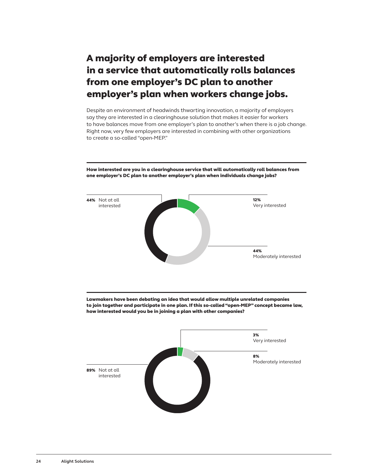# A majority of employers are interested in a service that automatically rolls balances from one employer's DC plan to another employer's plan when workers change jobs.

Despite an environment of headwinds thwarting innovation, a majority of employers say they are interested in a clearinghouse solution that makes it easier for workers to have balances move from one employer's plan to another's when there is a job change. Right now, very few employers are interested in combining with other organizations to create a so-called "open-MEP."

 $\bigcirc$  $\bigcirc$ 44% Moderately interested 8% Moderately interested 44% Not at all interested 89% Not at all interested 12% Very interested 3% Very interested Lawmakers have been debating an idea that would allow multiple unrelated companies to join together and participate in one plan. If this so-called "open-MEP" concept became law, how interested would you be in joining a plan with other companies?

How interested are you in a clearinghouse service that will automatically roll balances from one employer's DC plan to another employer's plan when individuals change jobs?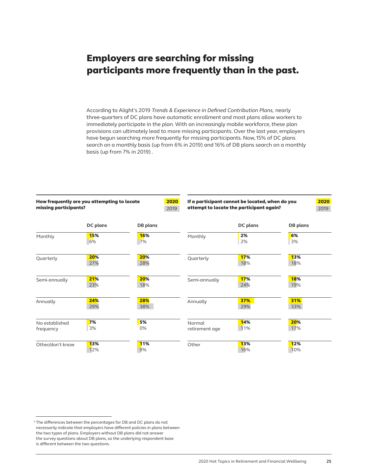### Employers are searching for missing participants more frequently than in the past.

According to Alight's 2019 *Trends & Experience in Defined Contribution Plans,* nearly three-quarters of DC plans have automatic enrollment and most plans allow workers to immediately participate in the plan. With an increasingly mobile workforce, these plan provisions can ultimately lead to more missing participants. Over the last year, employers have begun searching more frequently for missing participants. Now, 15% of DC plans search on a monthly basis (up from 6% in 2019) and 16% of DB plans search on a monthly basis (up from 7% in 2019) .

| How frequently are you attempting to locate<br>missing participants? |                   | 2019             | 2020                     | If a participant cannot be located, when do you<br>attempt to locate the participant again? |                   |
|----------------------------------------------------------------------|-------------------|------------------|--------------------------|---------------------------------------------------------------------------------------------|-------------------|
|                                                                      | DC plans          | DB plans         |                          | DC plans                                                                                    | DB plans          |
| Monthly                                                              | 15%<br>6%         | <b>16%</b><br>7% | Monthly                  | 2%<br>2%                                                                                    | 6%<br>3%          |
| Quarterly                                                            | 20%<br>27%        | 20%<br>28%       | Quarterly                | 17%<br>18%                                                                                  | <b>13%</b><br>18% |
| Semi-annually                                                        | 21%<br>23%        | 20%<br>18%       | Semi-annually            | 17%<br>24%                                                                                  | <b>18%</b><br>19% |
| Annually                                                             | 24%<br>29%        | 28%<br>38%       | Annually                 | 37%<br>29%                                                                                  | 31%<br>33%        |
| No established<br>frequency                                          | 7%<br>3%          | 5%<br>0%         | Normal<br>retirement age | 14%<br>11%                                                                                  | 20%<br>17%        |
| Other/don't know                                                     | <b>13%</b><br>12% | <b>11%</b><br>9% | Other                    | <b>13%</b><br>16%                                                                           | <b>12%</b><br>10% |

<sup>&</sup>lt;sup>5</sup> The differences between the percentages for DB and DC plans do not necessarily indicate that employers have different policies in plans between the two types of plans. Employers without DB plans did not answer the survey questions about DB plans, so the underlying respondent base is different between the two questions.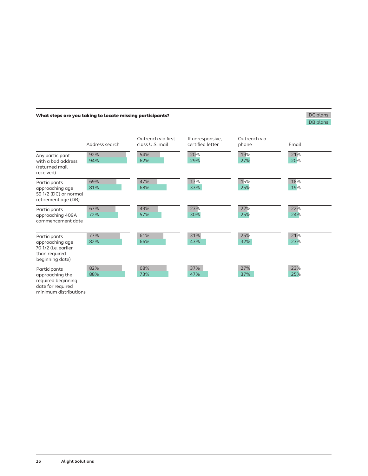### What steps are you taking to locate missing participants?

### DC plans DB plans

| Any participant                                                                             | Address search<br>92% | Outreach via first<br>class U.S. mail<br>54% | If unresponsive,<br>certified letter<br>20% | Outreach via<br>phone<br>19% | Email<br>21% |
|---------------------------------------------------------------------------------------------|-----------------------|----------------------------------------------|---------------------------------------------|------------------------------|--------------|
| with a bad address<br>(returned mail<br>received)                                           | 94%                   | 62%                                          | 29%                                         | 27%                          | 20%          |
| Participants<br>approaching age<br>59 1/2 (DC) or normal<br>retirement age (DB)             | 69%<br>81%            | 47%<br>68%                                   | 17%<br>33%                                  | 15%<br>25%                   | 18%<br>19%   |
| Participants<br>approaching 409A<br>commencement date                                       | 67%<br>72%            | 49%<br>57%                                   | 23%<br>30%                                  | 22%<br>25%                   | 22%<br>24%   |
| Participants<br>approaching age<br>70 1/2 (i.e. earlier<br>than required<br>beginning date) | 77%<br>82%            | 61%<br>66%                                   | 31%<br>43%                                  | 25%<br>32%                   | 21%<br>23%   |
| Participants<br>approaching the<br>required beginning                                       | 82%<br>88%            | 68%<br>73%                                   | 37%<br>47%                                  | 27%<br>37%                   | 23%<br>25%   |

date for required minimum distributions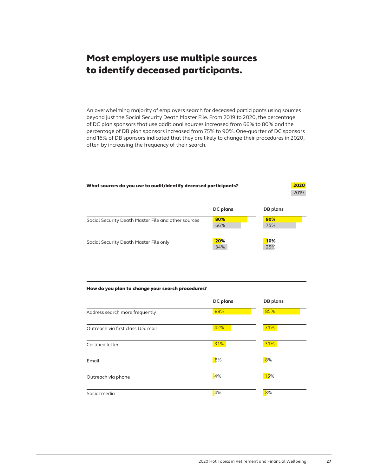### Most employers use multiple sources to identify deceased participants.

An overwhelming majority of employers search for deceased participants using sources beyond just the Social Security Death Master File. From 2019 to 2020, the percentage of DC plan sponsors that use additional sources increased from 66% to 80% and the percentage of DB plan sponsors increased from 75% to 90%. One-quarter of DC sponsors and 16% of DB sponsors indicated that they are likely to change their procedures in 2020, often by increasing the frequency of their search.

| What sources do you use to audit/identify deceased participants? |            |            |  |
|------------------------------------------------------------------|------------|------------|--|
|                                                                  | DC plans   | DB plans   |  |
| Social Security Death Master File and other sources              | 80%<br>66% | 90%<br>75% |  |
| Social Security Death Master File only                           | 20%<br>34% | 10%<br>25% |  |

#### How do you plan to change your search procedures?

|                                    | DC plans | DB plans |
|------------------------------------|----------|----------|
| Address search more frequently     | 88%      | 85%      |
| Outreach via first class U.S. mail | 42%      | 31%      |
| Certified letter                   | 31%      | 31%      |
| Email                              | 8%       | 8%       |
| Outreach via phone                 | 4%       | 15%      |
| Social media                       | 4%       | 8%       |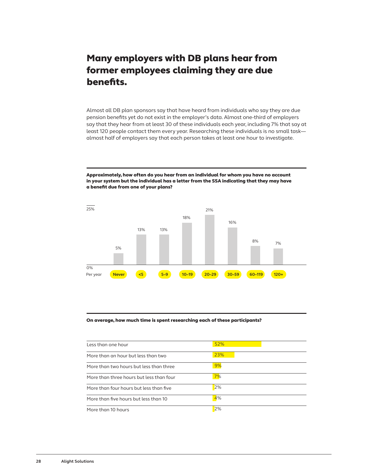### Many employers with DB plans hear from former employees claiming they are due benefits.

Almost all DB plan sponsors say that have heard from individuals who say they are due pension benefits yet do not exist in the employer's data. Almost one-third of employers say that they hear from at least 30 of these individuals each year, including 7% that say at least 120 people contact them every year. Researching these individuals is no small task almost half of employers say that each person takes at least one hour to investigate.

Approximately, how often do you hear from an individual for whom you have no account in your system but the individual has a letter from the SSA indicating that they may have a benefit due from one of your plans?



#### On average, how much time is spent researching each of these participants?

| Less than one hour                       | 52% |
|------------------------------------------|-----|
| More than an hour but less than two      | 23% |
| More than two hours but less than three  | 9%  |
| More than three hours but less than four | 7%  |
| More than four hours but less than five  | 2%  |
| More than five hours but less than 10    | 4%  |
| More than 10 hours                       | 2%  |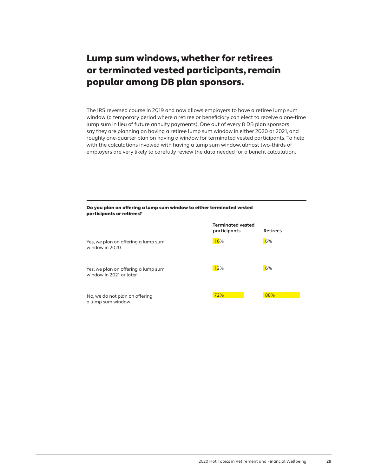## Lump sum windows, whether for retirees or terminated vested participants, remain popular among DB plan sponsors.

The IRS reversed course in 2019 and now allows employers to have a retiree lump sum window (a temporary period where a retiree or beneficiary can elect to receive a one-time lump sum in lieu of future annuity payments). One out of every 8 DB plan sponsors say they are planning on having a retiree lump sum window in either 2020 or 2021, and roughly one-quarter plan on having a window for terminated vested participants. To help with the calculations involved with having a lump sum window, almost two-thirds of employers are very likely to carefully review the data needed for a benefit calculation.

#### Do you plan on offering a lump sum window to either terminated vested participants or retirees?

|                                                                | <b>Terminated vested</b><br>participants | <b>Retirees</b> |
|----------------------------------------------------------------|------------------------------------------|-----------------|
| Yes, we plan on offering a lump sum<br>window in 2020          | 16%                                      | 6%              |
| Yes, we plan on offering a lump sum<br>window in 2021 or later | 12%                                      | 6%              |
| No, we do not plan on offering<br>a lump sum window            | 72%                                      | 88%             |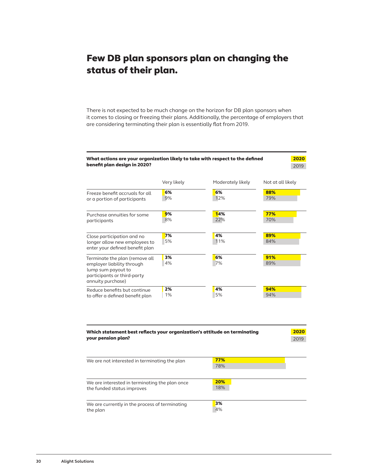### Few DB plan sponsors plan on changing the status of their plan.

There is not expected to be much change on the horizon for DB plan sponsors when it comes to closing or freezing their plans. Additionally, the percentage of employers that are considering terminating their plan is essentially flat from 2019.



| Which statement best reflects your organization's attitude on terminating<br>your pension plan? |            | 2020<br>2019 |
|-------------------------------------------------------------------------------------------------|------------|--------------|
| We are not interested in terminating the plan                                                   | 77%<br>78% |              |
| We are interested in terminating the plan once<br>the funded status improves                    | 20%<br>18% |              |
| We are currently in the process of terminating<br>the plan                                      | 3%<br>4%   |              |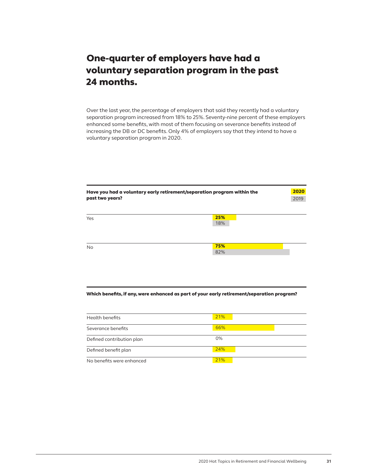### One-quarter of employers have had a voluntary separation program in the past 24 months.

Over the last year, the percentage of employers that said they recently had a voluntary separation program increased from 18% to 25%. Seventy-nine percent of these employers enhanced some benefits, with most of them focusing on severance benefits instead of increasing the DB or DC benefits. Only 4% of employers say that they intend to have a voluntary separation program in 2020.

| Have you had a voluntary early retirement/separation program within the<br>past two years? |            | 2020<br>2019 |
|--------------------------------------------------------------------------------------------|------------|--------------|
| Yes                                                                                        | 25%<br>18% |              |
| <b>No</b>                                                                                  | 75%<br>82% |              |

### Which benefits, if any, were enhanced as part of your early retirement/separation program?

| Health benefits           | 21%   |
|---------------------------|-------|
| Severance benefits        | 66%   |
| Defined contribution plan | $0\%$ |
| Defined benefit plan      | 24%   |
| No benefits were enhanced | 21%   |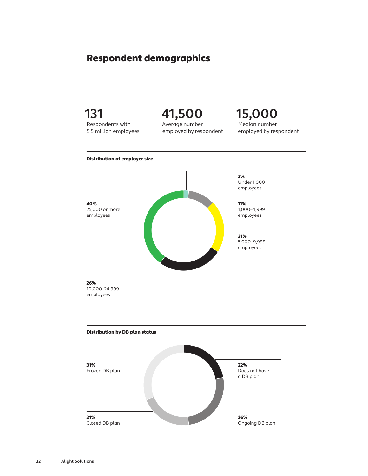### Respondent demographics



**32 Alight Solutions**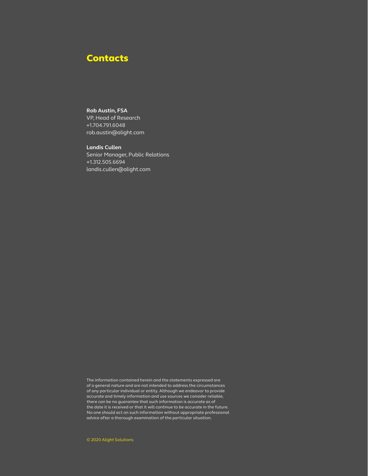### **Contacts**

#### **Rob Austin, FSA**

VP, Head of Research +1.704.791.6048 rob.austin@alight.com

#### **Landis Cullen**

Senior Manager, Public Relations +1.312.505.6694 landis.cullen@alight.com

The information contained herein and the statements expressed are of a general nature and are not intended to address the circumstances of any particular individual or entity. Although we endeavor to provide accurate and timely information and use sources we consider reliable, there can be no guarantee that such information is accurate as of the date it is received or that it will continue to be accurate in the future. No one should act on such information without appropriate professional advice after a thorough examination of the particular situation.